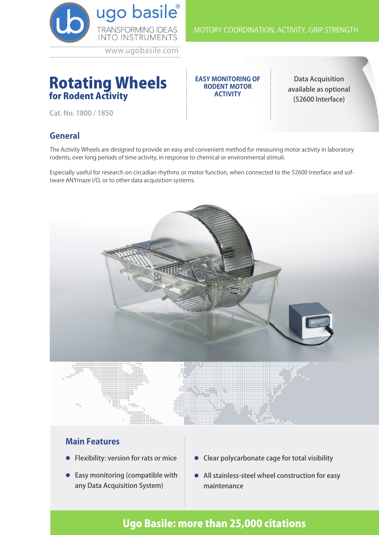

# Rotating Wheels for Rodent Activity

**EASY MONITORING OF RODENT MOTOR ACTIVITY**

Data Acquisition available as optional (52600 Interface)

MOTORY COORDINATION, ACTIVITY, GRIP STRENGTH

Cat. No. 1800 / 1850

#### **General**

The Activity Wheels are designed to provide an easy and convenient method for measuring motor activity in laboratory rodents, over long periods of time activity, in response to chemical or environmental stimuli.

Especially useful for research on circadian rhythms or motor function, when connected to the 52600 Interface and software ANYmaze I/O, or to other data acquisition systems.



#### **Main Features**

- **•** Flexibility: version for rats or mice
- $\bullet$  Easy monitoring (compatible with any Data Acquisition System)
- l Clear polycarbonate cage for total visibility
- All stainless-steel wheel construction for easy maintenance

## Ugo Basile: more than 25,000 citations